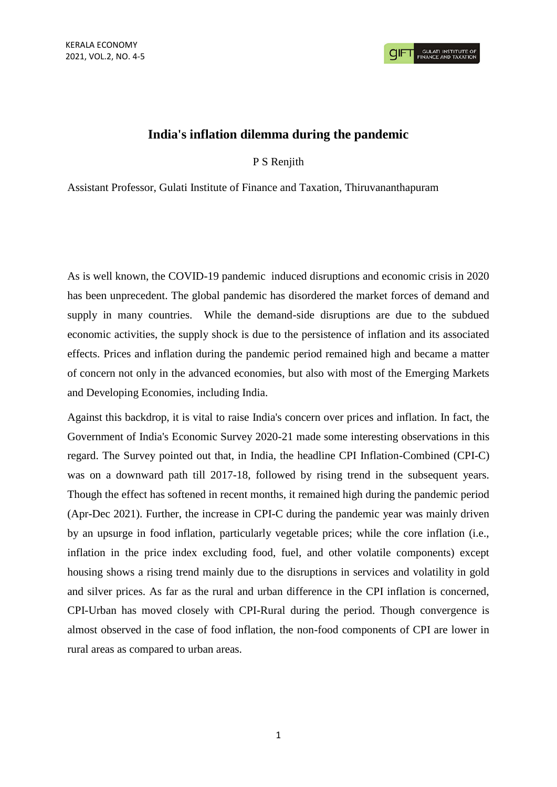## **India's inflation dilemma during the pandemic**

P S Renjith

Assistant Professor, Gulati Institute of Finance and Taxation, Thiruvananthapuram

As is well known, the COVID-19 pandemic induced disruptions and economic crisis in 2020 has been unprecedent. The global pandemic has disordered the market forces of demand and supply in many countries. While the demand-side disruptions are due to the subdued economic activities, the supply shock is due to the persistence of inflation and its associated effects. Prices and inflation during the pandemic period remained high and became a matter of concern not only in the advanced economies, but also with most of the Emerging Markets and Developing Economies, including India.

Against this backdrop, it is vital to raise India's concern over prices and inflation. In fact, the Government of India's Economic Survey 2020-21 made some interesting observations in this regard. The Survey pointed out that, in India, the headline CPI Inflation-Combined (CPI-C) was on a downward path till 2017-18, followed by rising trend in the subsequent years. Though the effect has softened in recent months, it remained high during the pandemic period (Apr-Dec 2021). Further, the increase in CPI-C during the pandemic year was mainly driven by an upsurge in food inflation, particularly vegetable prices; while the core inflation (i.e., inflation in the price index excluding food, fuel, and other volatile components) except housing shows a rising trend mainly due to the disruptions in services and volatility in gold and silver prices. As far as the rural and urban difference in the CPI inflation is concerned, CPI-Urban has moved closely with CPI-Rural during the period. Though convergence is almost observed in the case of food inflation, the non-food components of CPI are lower in rural areas as compared to urban areas.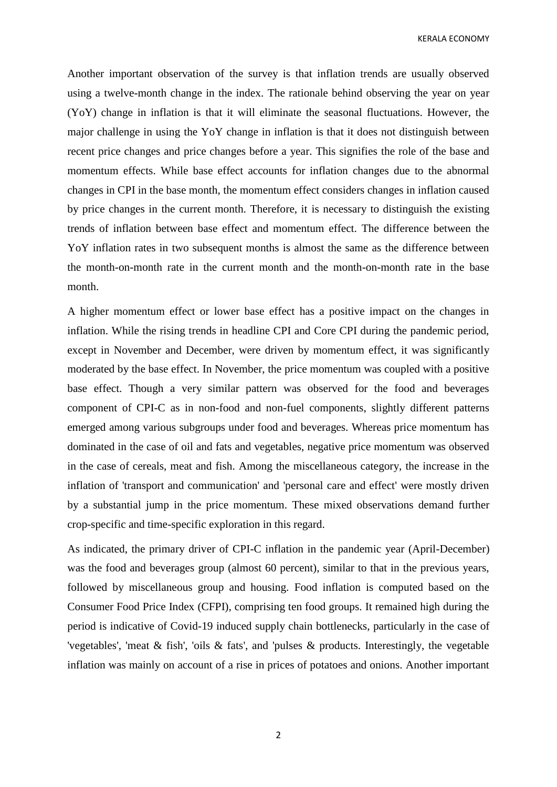KERALA ECONOMY

Another important observation of the survey is that inflation trends are usually observed using a twelve-month change in the index. The rationale behind observing the year on year (YoY) change in inflation is that it will eliminate the seasonal fluctuations. However, the major challenge in using the YoY change in inflation is that it does not distinguish between recent price changes and price changes before a year. This signifies the role of the base and momentum effects. While base effect accounts for inflation changes due to the abnormal changes in CPI in the base month, the momentum effect considers changes in inflation caused by price changes in the current month. Therefore, it is necessary to distinguish the existing trends of inflation between base effect and momentum effect. The difference between the YoY inflation rates in two subsequent months is almost the same as the difference between the month-on-month rate in the current month and the month-on-month rate in the base month.

A higher momentum effect or lower base effect has a positive impact on the changes in inflation. While the rising trends in headline CPI and Core CPI during the pandemic period, except in November and December, were driven by momentum effect, it was significantly moderated by the base effect. In November, the price momentum was coupled with a positive base effect. Though a very similar pattern was observed for the food and beverages component of CPI-C as in non-food and non-fuel components, slightly different patterns emerged among various subgroups under food and beverages. Whereas price momentum has dominated in the case of oil and fats and vegetables, negative price momentum was observed in the case of cereals, meat and fish. Among the miscellaneous category, the increase in the inflation of 'transport and communication' and 'personal care and effect' were mostly driven by a substantial jump in the price momentum. These mixed observations demand further crop-specific and time-specific exploration in this regard.

As indicated, the primary driver of CPI-C inflation in the pandemic year (April-December) was the food and beverages group (almost 60 percent), similar to that in the previous years, followed by miscellaneous group and housing. Food inflation is computed based on the Consumer Food Price Index (CFPI), comprising ten food groups. It remained high during the period is indicative of Covid-19 induced supply chain bottlenecks, particularly in the case of 'vegetables', 'meat & fish', 'oils & fats', and 'pulses & products. Interestingly, the vegetable inflation was mainly on account of a rise in prices of potatoes and onions. Another important

2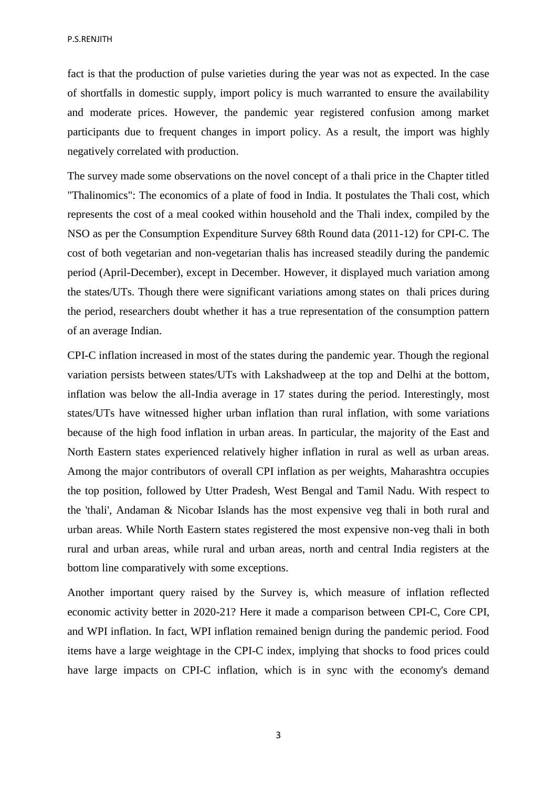P.S.RENJITH

fact is that the production of pulse varieties during the year was not as expected. In the case of shortfalls in domestic supply, import policy is much warranted to ensure the availability and moderate prices. However, the pandemic year registered confusion among market participants due to frequent changes in import policy. As a result, the import was highly negatively correlated with production.

The survey made some observations on the novel concept of a thali price in the Chapter titled "Thalinomics": The economics of a plate of food in India. It postulates the Thali cost, which represents the cost of a meal cooked within household and the Thali index, compiled by the NSO as per the Consumption Expenditure Survey 68th Round data (2011-12) for CPI-C. The cost of both vegetarian and non-vegetarian thalis has increased steadily during the pandemic period (April-December), except in December. However, it displayed much variation among the states/UTs. Though there were significant variations among states on thali prices during the period, researchers doubt whether it has a true representation of the consumption pattern of an average Indian.

CPI-C inflation increased in most of the states during the pandemic year. Though the regional variation persists between states/UTs with Lakshadweep at the top and Delhi at the bottom, inflation was below the all-India average in 17 states during the period. Interestingly, most states/UTs have witnessed higher urban inflation than rural inflation, with some variations because of the high food inflation in urban areas. In particular, the majority of the East and North Eastern states experienced relatively higher inflation in rural as well as urban areas. Among the major contributors of overall CPI inflation as per weights, Maharashtra occupies the top position, followed by Utter Pradesh, West Bengal and Tamil Nadu. With respect to the 'thali', Andaman & Nicobar Islands has the most expensive veg thali in both rural and urban areas. While North Eastern states registered the most expensive non-veg thali in both rural and urban areas, while rural and urban areas, north and central India registers at the bottom line comparatively with some exceptions.

Another important query raised by the Survey is, which measure of inflation reflected economic activity better in 2020-21? Here it made a comparison between CPI-C, Core CPI, and WPI inflation. In fact, WPI inflation remained benign during the pandemic period. Food items have a large weightage in the CPI-C index, implying that shocks to food prices could have large impacts on CPI-C inflation, which is in sync with the economy's demand